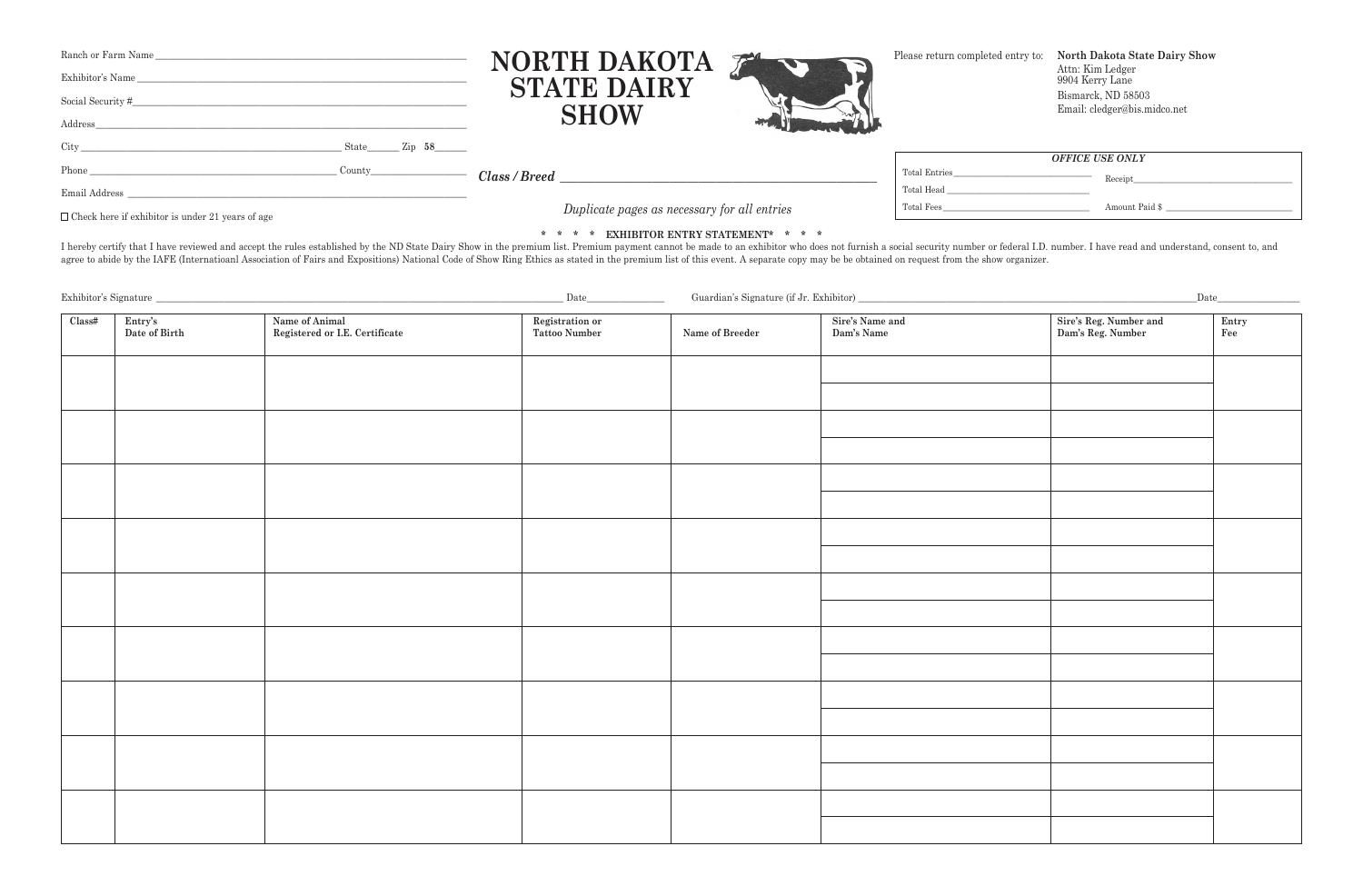## **\* \* \* \* ExhIBIToR ENTRy STATEmENT\* \* \* \***

I hereby certify that I have reviewed and accept the rules established by the ND State Dairy Show in the premium list. Premium payment cannot be made to an exhibitor who does not furnish a social security number or federal agree to abide by the IAFE (Internatioanl Association of Fairs and Expositions) National Code of Show Ring Ethics as stated in the premium list of this event. A separate copy may be be obtained on request from the show org

| Ranch or Farm Name<br>Exhibitor's Name<br>Social Security #<br>Address |                                 |               | NORTH DAKOTA<br><b>STATE DAIRY</b><br><b>SHOW</b> |               | Please return completed entry to: North Dakota State Dairy Show<br>Attn: Kim Ledger<br>9904 Kerry Lane<br>Bismarck, ND 58503<br>Email: cledger@bis.midco.net |
|------------------------------------------------------------------------|---------------------------------|---------------|---------------------------------------------------|---------------|--------------------------------------------------------------------------------------------------------------------------------------------------------------|
| $\mathrm{City}_{-}$                                                    | $\text{State}$ $\text{Zip } 58$ |               |                                                   |               |                                                                                                                                                              |
|                                                                        |                                 |               |                                                   |               | <b>OFFICE USE ONLY</b>                                                                                                                                       |
| Phone                                                                  | County                          | Class / Breed |                                                   | Total Entries | Receipt                                                                                                                                                      |
| Email Address                                                          |                                 |               |                                                   | Total Head    |                                                                                                                                                              |
| $\Box$ Check here if exhibitor is under 21 years of age                |                                 |               | Duplicate pages as necessary for all entries      | Total Fees    | Amount Paid \$                                                                                                                                               |

Exhibitor's Signature \_\_\_\_\_\_\_\_\_\_\_\_\_\_\_\_\_\_\_\_\_\_\_\_\_\_\_\_\_\_\_\_\_\_\_\_\_\_\_\_\_\_\_\_\_\_\_\_\_\_\_\_\_\_\_\_\_\_\_\_\_\_\_\_\_\_\_\_\_\_\_\_\_\_\_\_\_\_\_\_\_\_\_\_\_\_\_\_\_ Date\_\_\_\_\_\_\_\_\_\_\_\_\_\_\_\_\_ Guardian's Signature (if Jr. Exhibitor) \_\_\_\_\_\_\_\_\_\_\_\_\_\_\_\_\_\_\_\_\_\_\_\_\_\_\_\_\_\_\_\_\_\_\_\_\_\_\_\_\_\_\_\_\_\_\_\_\_\_\_\_\_\_\_\_\_\_\_\_\_\_\_\_\_\_\_\_\_\_\_\_\_\_Date\_\_\_\_\_\_\_\_\_\_\_\_\_\_\_\_\_\_

| Class# | Entry's<br>Date of Birth | Name of Animal<br>Registered or I.E. Certificate | Registration or<br>Tattoo Number | Name of Breeder | Sire's Name and<br>Dam's Name | Sire's Reg. Number and<br>Dam's Reg. Number | Entry<br>Fee |
|--------|--------------------------|--------------------------------------------------|----------------------------------|-----------------|-------------------------------|---------------------------------------------|--------------|
|        |                          |                                                  |                                  |                 |                               |                                             |              |
|        |                          |                                                  |                                  |                 |                               |                                             |              |
|        |                          |                                                  |                                  |                 |                               |                                             |              |
|        |                          |                                                  |                                  |                 |                               |                                             |              |
|        |                          |                                                  |                                  |                 |                               |                                             |              |
|        |                          |                                                  |                                  |                 |                               |                                             |              |
|        |                          |                                                  |                                  |                 |                               |                                             |              |
|        |                          |                                                  |                                  |                 |                               |                                             |              |
|        |                          |                                                  |                                  |                 |                               |                                             |              |
|        |                          |                                                  |                                  |                 |                               |                                             |              |
|        |                          |                                                  |                                  |                 |                               |                                             |              |
|        |                          |                                                  |                                  |                 |                               |                                             |              |
|        |                          |                                                  |                                  |                 |                               |                                             |              |
|        |                          |                                                  |                                  |                 |                               |                                             |              |
|        |                          |                                                  |                                  |                 |                               |                                             |              |
|        |                          |                                                  |                                  |                 |                               |                                             |              |
|        |                          |                                                  |                                  |                 |                               |                                             |              |
|        |                          |                                                  |                                  |                 |                               |                                             |              |